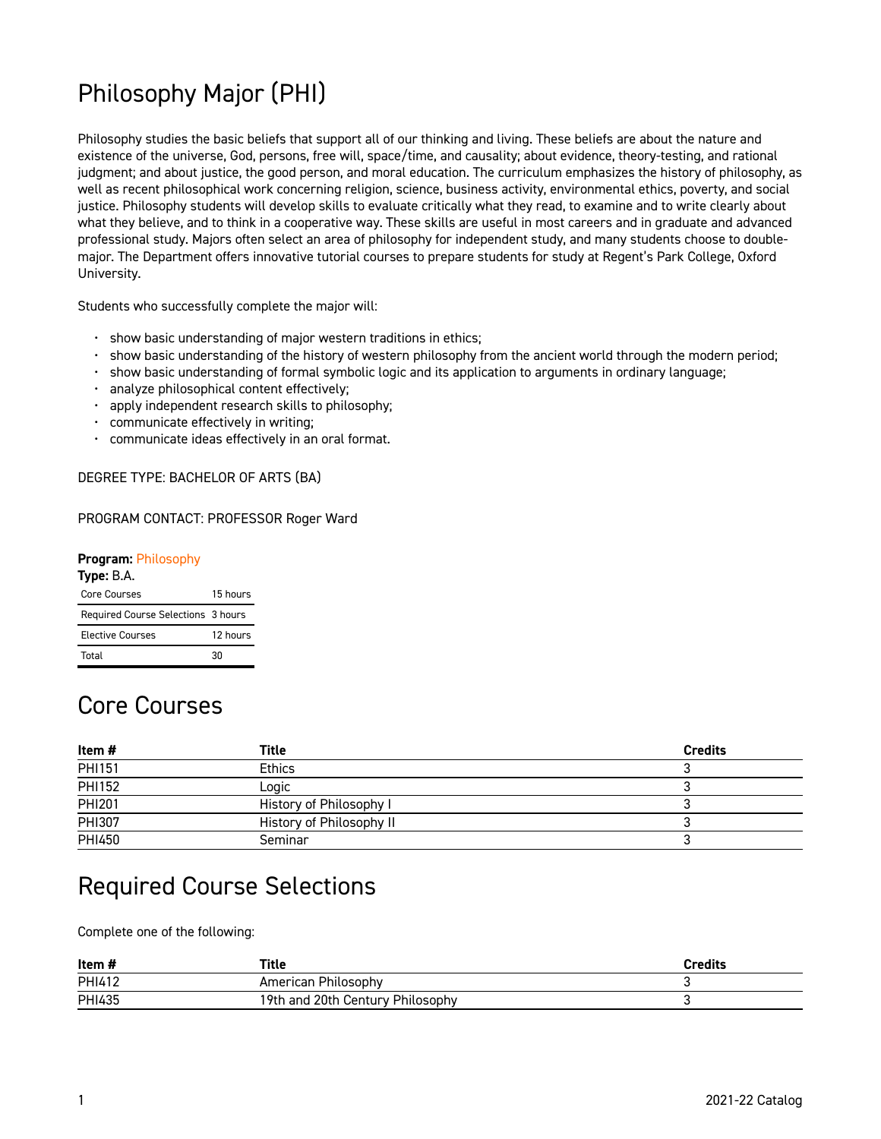# Philosophy Major (PHI)

Philosophy studies the basic beliefs that support all of our thinking and living. These beliefs are about the nature and existence of the universe, God, persons, free will, space/time, and causality; about evidence, theory-testing, and rational judgment; and about justice, the good person, and moral education. The curriculum emphasizes the history of philosophy, as well as recent philosophical work concerning religion, science, business activity, environmental ethics, poverty, and social justice. Philosophy students will develop skills to evaluate critically what they read, to examine and to write clearly about what they believe, and to think in a cooperative way. These skills are useful in most careers and in graduate and advanced professional study. Majors often select an area of philosophy for independent study, and many students choose to doublemajor. The Department offers innovative tutorial courses to prepare students for study at Regent's Park College, Oxford University.

Students who successfully complete the major will:

- show basic understanding of major western traditions in ethics;
- show basic understanding of the history of western philosophy from the ancient world through the modern period;
- show basic understanding of formal symbolic logic and its application to arguments in ordinary language;
- analyze philosophical content effectively;
- apply independent research skills to philosophy;
- communicate effectively in writing;
- communicate ideas effectively in an oral format.

DEGREE TYPE: BACHELOR OF ARTS (BA)

#### PROGRAM CONTACT: PROFESSOR Roger Ward

#### **Program:** [Philosophy](https://live-georgetown-catalog21.pantheonsite.io/philosophy)

| Type: B.A.                         |          |
|------------------------------------|----------|
| Core Courses                       | 15 hours |
| Required Course Selections 3 hours |          |
| <b>Elective Courses</b>            | 12 hours |
| Total                              | 30       |

## Core Courses

| Item#         | Title                    | <b>Credits</b> |
|---------------|--------------------------|----------------|
| PHI151        | <b>Ethics</b>            |                |
| <b>PHI152</b> | Logic                    |                |
| PHI201        | History of Philosophy I  |                |
| PHI307        | History of Philosophy II |                |
| PHI450        | Seminar                  |                |

## Required Course Selections

Complete one of the following:

| Item#         | Title                            | Credits |
|---------------|----------------------------------|---------|
| <b>PHI412</b> | American Philosophy              |         |
| <b>PHI435</b> | 19th and 20th Century Philosophy |         |